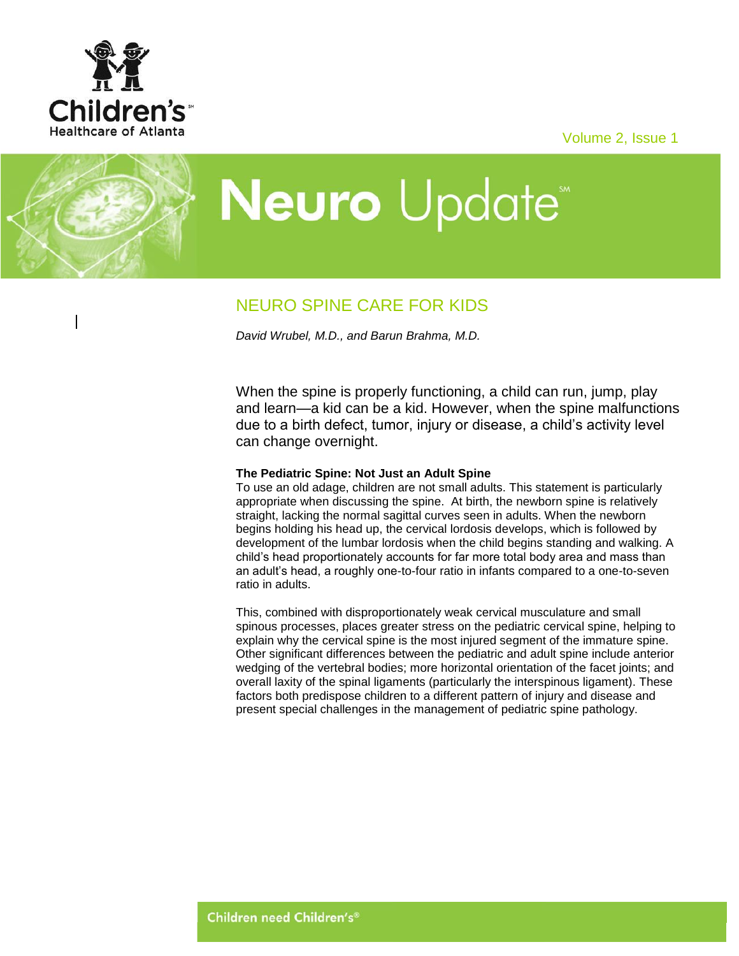

Volume 2, Issue 1

# **Neuro** Update<sup>®</sup>

# NEURO SPINE CARE FOR KIDS

*David Wrubel, M.D., and Barun Brahma, M.D.*

When the spine is properly functioning, a child can run, jump, play and learn—a kid can be a kid. However, when the spine malfunctions due to a birth defect, tumor, injury or disease, a child's activity level can change overnight.

# **The Pediatric Spine: Not Just an Adult Spine**

To use an old adage, children are not small adults. This statement is particularly appropriate when discussing the spine. At birth, the newborn spine is relatively straight, lacking the normal sagittal curves seen in adults. When the newborn begins holding his head up, the cervical lordosis develops, which is followed by development of the lumbar lordosis when the child begins standing and walking. A child's head proportionately accounts for far more total body area and mass than an adult's head, a roughly one-to-four ratio in infants compared to a one-to-seven ratio in adults.

This, combined with disproportionately weak cervical musculature and small spinous processes, places greater stress on the pediatric cervical spine, helping to explain why the cervical spine is the most injured segment of the immature spine. Other significant differences between the pediatric and adult spine include anterior wedging of the vertebral bodies; more horizontal orientation of the facet joints; and overall laxity of the spinal ligaments (particularly the interspinous ligament). These factors both predispose children to a different pattern of injury and disease and present special challenges in the management of pediatric spine pathology.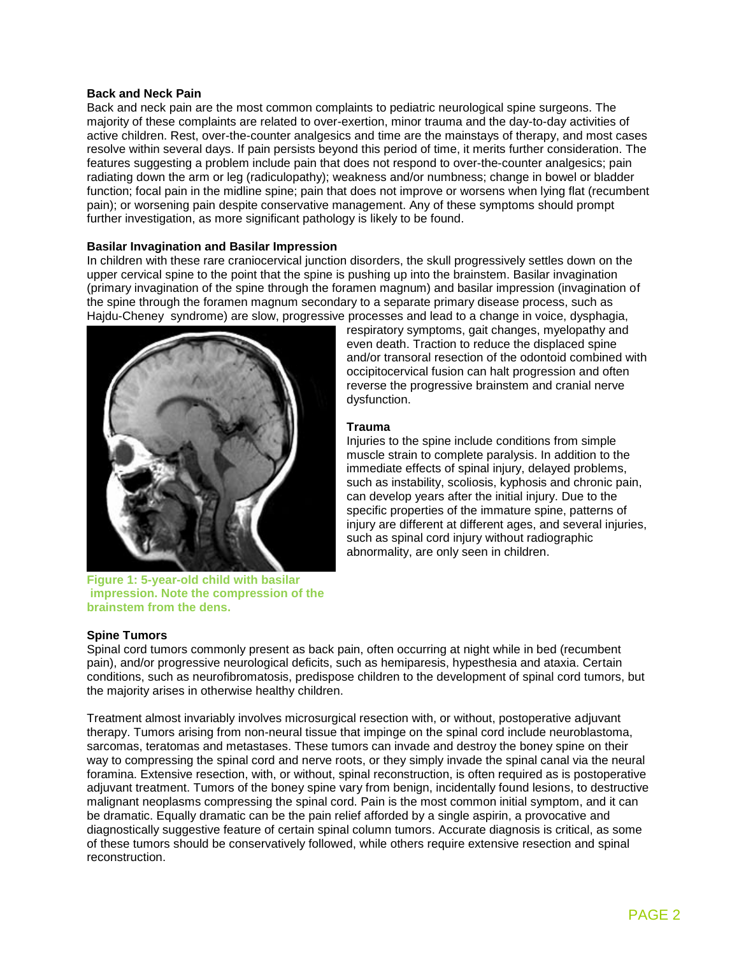#### **Back and Neck Pain**

Back and neck pain are the most common complaints to pediatric neurological spine surgeons. The majority of these complaints are related to over-exertion, minor trauma and the day-to-day activities of active children. Rest, over-the-counter analgesics and time are the mainstays of therapy, and most cases resolve within several days. If pain persists beyond this period of time, it merits further consideration. The features suggesting a problem include pain that does not respond to over-the-counter analgesics; pain radiating down the arm or leg (radiculopathy); weakness and/or numbness; change in bowel or bladder function; focal pain in the midline spine; pain that does not improve or worsens when lying flat (recumbent pain); or worsening pain despite conservative management. Any of these symptoms should prompt further investigation, as more significant pathology is likely to be found.

# **Basilar Invagination and Basilar Impression**

In children with these rare craniocervical junction disorders, the skull progressively settles down on the upper cervical spine to the point that the spine is pushing up into the brainstem. Basilar invagination (primary invagination of the spine through the foramen magnum) and basilar impression (invagination of the spine through the foramen magnum secondary to a separate primary disease process, such as Hajdu-Cheney syndrome) are slow, progressive processes and lead to a change in voice, dysphagia,



**Figure 1: 5-year-old child with basilar impression. Note the compression of the brainstem from the dens.**

# respiratory symptoms, gait changes, myelopathy and even death. Traction to reduce the displaced spine and/or transoral resection of the odontoid combined with occipitocervical fusion can halt progression and often reverse the progressive brainstem and cranial nerve dysfunction.

# **Trauma**

Injuries to the spine include conditions from simple muscle strain to complete paralysis. In addition to the immediate effects of spinal injury, delayed problems, such as instability, scoliosis, kyphosis and chronic pain, can develop years after the initial injury. Due to the specific properties of the immature spine, patterns of injury are different at different ages, and several injuries, such as spinal cord injury without radiographic abnormality, are only seen in children.

# **Spine Tumors**

Spinal cord tumors commonly present as back pain, often occurring at night while in bed (recumbent pain), and/or progressive neurological deficits, such as hemiparesis, hypesthesia and ataxia. Certain conditions, such as neurofibromatosis, predispose children to the development of spinal cord tumors, but the majority arises in otherwise healthy children.

Treatment almost invariably involves microsurgical resection with, or without, postoperative adjuvant therapy. Tumors arising from non-neural tissue that impinge on the spinal cord include neuroblastoma, sarcomas, teratomas and metastases. These tumors can invade and destroy the boney spine on their way to compressing the spinal cord and nerve roots, or they simply invade the spinal canal via the neural foramina. Extensive resection, with, or without, spinal reconstruction, is often required as is postoperative adjuvant treatment. Tumors of the boney spine vary from benign, incidentally found lesions, to destructive malignant neoplasms compressing the spinal cord. Pain is the most common initial symptom, and it can be dramatic. Equally dramatic can be the pain relief afforded by a single aspirin, a provocative and diagnostically suggestive feature of certain spinal column tumors. Accurate diagnosis is critical, as some of these tumors should be conservatively followed, while others require extensive resection and spinal reconstruction.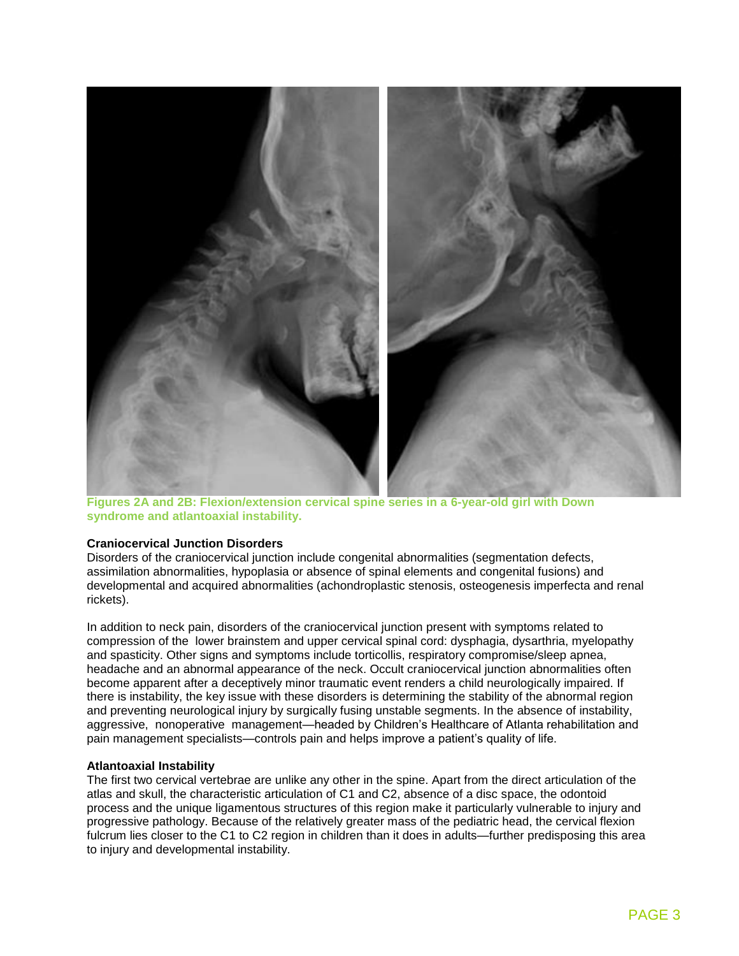

**Figures 2A and 2B: Flexion/extension cervical spine series in a 6-year-old girl with Down syndrome and atlantoaxial instability.**

#### **Craniocervical Junction Disorders**

Disorders of the craniocervical junction include congenital abnormalities (segmentation defects, assimilation abnormalities, hypoplasia or absence of spinal elements and congenital fusions) and developmental and acquired abnormalities (achondroplastic stenosis, osteogenesis imperfecta and renal rickets).

In addition to neck pain, disorders of the craniocervical junction present with symptoms related to compression of the lower brainstem and upper cervical spinal cord: dysphagia, dysarthria, myelopathy and spasticity. Other signs and symptoms include torticollis, respiratory compromise/sleep apnea, headache and an abnormal appearance of the neck. Occult craniocervical junction abnormalities often become apparent after a deceptively minor traumatic event renders a child neurologically impaired. If there is instability, the key issue with these disorders is determining the stability of the abnormal region and preventing neurological injury by surgically fusing unstable segments. In the absence of instability, aggressive, nonoperative management—headed by Children's Healthcare of Atlanta rehabilitation and pain management specialists—controls pain and helps improve a patient's quality of life.

#### **Atlantoaxial Instability**

The first two cervical vertebrae are unlike any other in the spine. Apart from the direct articulation of the atlas and skull, the characteristic articulation of C1 and C2, absence of a disc space, the odontoid process and the unique ligamentous structures of this region make it particularly vulnerable to injury and progressive pathology. Because of the relatively greater mass of the pediatric head, the cervical flexion fulcrum lies closer to the C1 to C2 region in children than it does in adults—further predisposing this area to injury and developmental instability.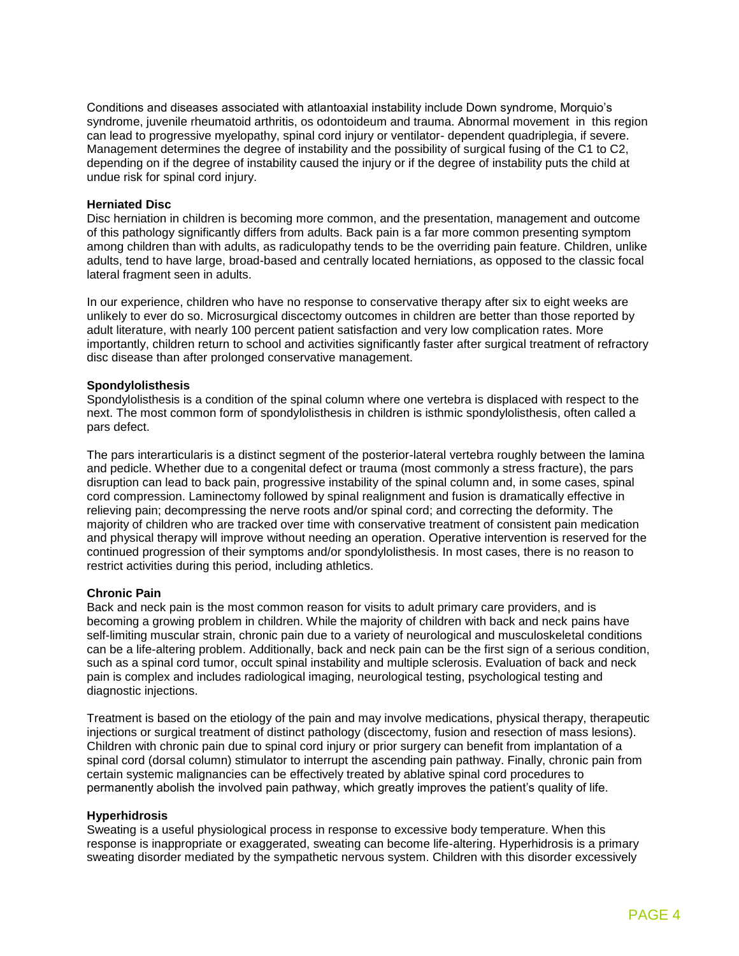Conditions and diseases associated with atlantoaxial instability include Down syndrome, Morquio's syndrome, juvenile rheumatoid arthritis, os odontoideum and trauma. Abnormal movement in this region can lead to progressive myelopathy, spinal cord injury or ventilator- dependent quadriplegia, if severe. Management determines the degree of instability and the possibility of surgical fusing of the C1 to C2, depending on if the degree of instability caused the injury or if the degree of instability puts the child at undue risk for spinal cord injury.

#### **Herniated Disc**

Disc herniation in children is becoming more common, and the presentation, management and outcome of this pathology significantly differs from adults. Back pain is a far more common presenting symptom among children than with adults, as radiculopathy tends to be the overriding pain feature. Children, unlike adults, tend to have large, broad-based and centrally located herniations, as opposed to the classic focal lateral fragment seen in adults.

In our experience, children who have no response to conservative therapy after six to eight weeks are unlikely to ever do so. Microsurgical discectomy outcomes in children are better than those reported by adult literature, with nearly 100 percent patient satisfaction and very low complication rates. More importantly, children return to school and activities significantly faster after surgical treatment of refractory disc disease than after prolonged conservative management.

#### **Spondylolisthesis**

Spondylolisthesis is a condition of the spinal column where one vertebra is displaced with respect to the next. The most common form of spondylolisthesis in children is isthmic spondylolisthesis, often called a pars defect.

The pars interarticularis is a distinct segment of the posterior-lateral vertebra roughly between the lamina and pedicle. Whether due to a congenital defect or trauma (most commonly a stress fracture), the pars disruption can lead to back pain, progressive instability of the spinal column and, in some cases, spinal cord compression. Laminectomy followed by spinal realignment and fusion is dramatically effective in relieving pain; decompressing the nerve roots and/or spinal cord; and correcting the deformity. The majority of children who are tracked over time with conservative treatment of consistent pain medication and physical therapy will improve without needing an operation. Operative intervention is reserved for the continued progression of their symptoms and/or spondylolisthesis. In most cases, there is no reason to restrict activities during this period, including athletics.

#### **Chronic Pain**

Back and neck pain is the most common reason for visits to adult primary care providers, and is becoming a growing problem in children. While the majority of children with back and neck pains have self-limiting muscular strain, chronic pain due to a variety of neurological and musculoskeletal conditions can be a life-altering problem. Additionally, back and neck pain can be the first sign of a serious condition, such as a spinal cord tumor, occult spinal instability and multiple sclerosis. Evaluation of back and neck pain is complex and includes radiological imaging, neurological testing, psychological testing and diagnostic injections.

Treatment is based on the etiology of the pain and may involve medications, physical therapy, therapeutic injections or surgical treatment of distinct pathology (discectomy, fusion and resection of mass lesions). Children with chronic pain due to spinal cord injury or prior surgery can benefit from implantation of a spinal cord (dorsal column) stimulator to interrupt the ascending pain pathway. Finally, chronic pain from certain systemic malignancies can be effectively treated by ablative spinal cord procedures to permanently abolish the involved pain pathway, which greatly improves the patient's quality of life.

#### **Hyperhidrosis**

Sweating is a useful physiological process in response to excessive body temperature. When this response is inappropriate or exaggerated, sweating can become life-altering. Hyperhidrosis is a primary sweating disorder mediated by the sympathetic nervous system. Children with this disorder excessively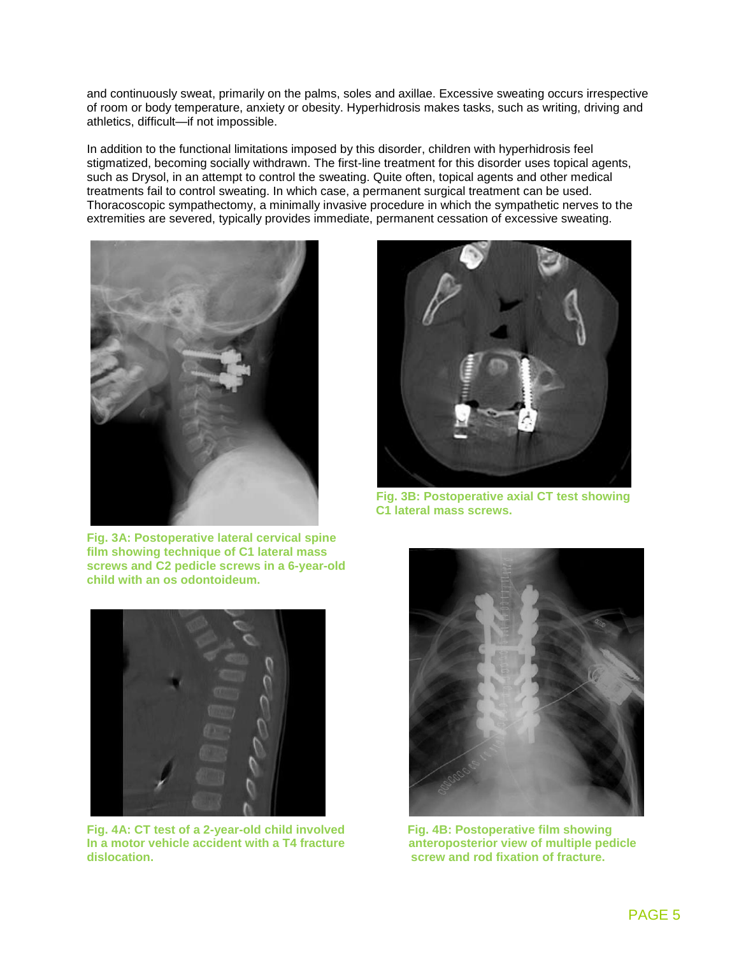and continuously sweat, primarily on the palms, soles and axillae. Excessive sweating occurs irrespective of room or body temperature, anxiety or obesity. Hyperhidrosis makes tasks, such as writing, driving and athletics, difficult—if not impossible.

In addition to the functional limitations imposed by this disorder, children with hyperhidrosis feel stigmatized, becoming socially withdrawn. The first-line treatment for this disorder uses topical agents, such as Drysol, in an attempt to control the sweating. Quite often, topical agents and other medical treatments fail to control sweating. In which case, a permanent surgical treatment can be used. Thoracoscopic sympathectomy, a minimally invasive procedure in which the sympathetic nerves to the extremities are severed, typically provides immediate, permanent cessation of excessive sweating.



**Fig. 3A: Postoperative lateral cervical spine film showing technique of C1 lateral mass screws and C2 pedicle screws in a 6-year-old child with an os odontoideum.**



Fig. 4A: CT test of a 2-year-old child involved<br>
In a motor vehicle accident with a T4 fracture **Fig. 4B: Postoperative film showing In a motor vehicle accident with a T4 fracture dislocation. screw and rod fixation of fracture.**



**Fig. 3B: Postoperative axial CT test showing C1 lateral mass screws.**

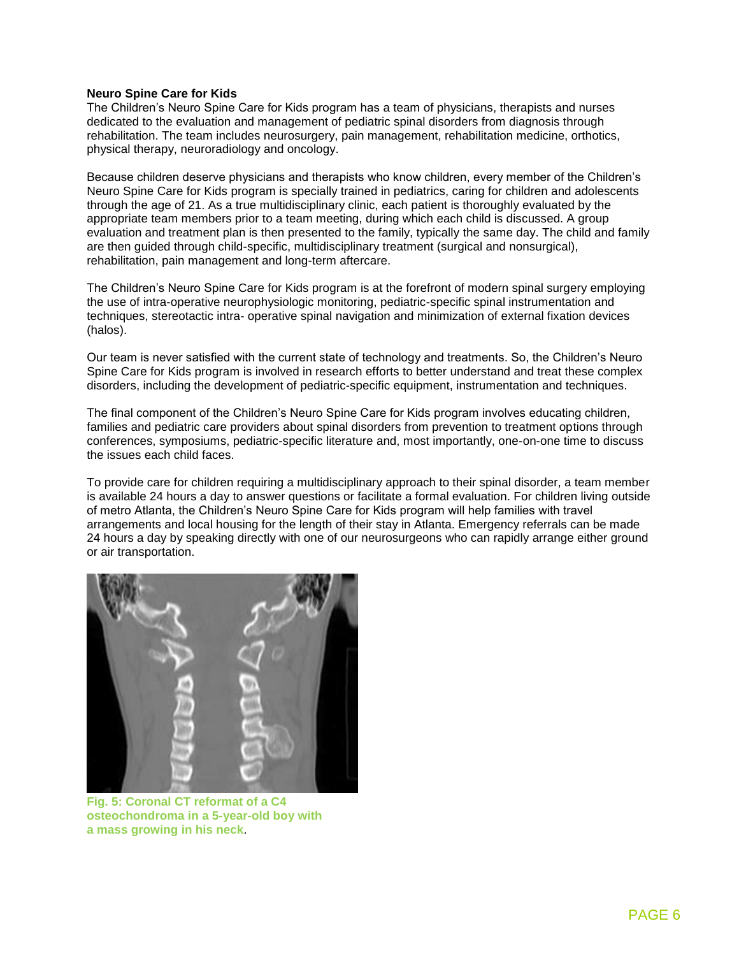#### **Neuro Spine Care for Kids**

The Children's Neuro Spine Care for Kids program has a team of physicians, therapists and nurses dedicated to the evaluation and management of pediatric spinal disorders from diagnosis through rehabilitation. The team includes neurosurgery, pain management, rehabilitation medicine, orthotics, physical therapy, neuroradiology and oncology.

Because children deserve physicians and therapists who know children, every member of the Children's Neuro Spine Care for Kids program is specially trained in pediatrics, caring for children and adolescents through the age of 21. As a true multidisciplinary clinic, each patient is thoroughly evaluated by the appropriate team members prior to a team meeting, during which each child is discussed. A group evaluation and treatment plan is then presented to the family, typically the same day. The child and family are then guided through child-specific, multidisciplinary treatment (surgical and nonsurgical), rehabilitation, pain management and long-term aftercare.

The Children's Neuro Spine Care for Kids program is at the forefront of modern spinal surgery employing the use of intra-operative neurophysiologic monitoring, pediatric-specific spinal instrumentation and techniques, stereotactic intra- operative spinal navigation and minimization of external fixation devices (halos).

Our team is never satisfied with the current state of technology and treatments. So, the Children's Neuro Spine Care for Kids program is involved in research efforts to better understand and treat these complex disorders, including the development of pediatric-specific equipment, instrumentation and techniques.

The final component of the Children's Neuro Spine Care for Kids program involves educating children, families and pediatric care providers about spinal disorders from prevention to treatment options through conferences, symposiums, pediatric-specific literature and, most importantly, one-on-one time to discuss the issues each child faces.

To provide care for children requiring a multidisciplinary approach to their spinal disorder, a team member is available 24 hours a day to answer questions or facilitate a formal evaluation. For children living outside of metro Atlanta, the Children's Neuro Spine Care for Kids program will help families with travel arrangements and local housing for the length of their stay in Atlanta. Emergency referrals can be made 24 hours a day by speaking directly with one of our neurosurgeons who can rapidly arrange either ground or air transportation.



**Fig. 5: Coronal CT reformat of a C4 osteochondroma in a 5-year-old boy with a mass growing in his neck**.